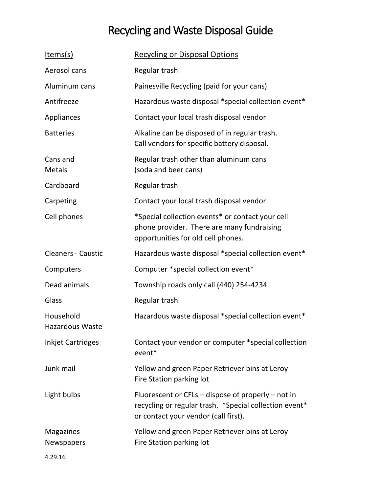## Recycling and Waste Disposal Guide

| <u>Items(s)</u>                       | <b>Recycling or Disposal Options</b>                                                                                                                   |
|---------------------------------------|--------------------------------------------------------------------------------------------------------------------------------------------------------|
| Aerosol cans                          | Regular trash                                                                                                                                          |
| Aluminum cans                         | Painesville Recycling (paid for your cans)                                                                                                             |
| Antifreeze                            | Hazardous waste disposal *special collection event*                                                                                                    |
| Appliances                            | Contact your local trash disposal vendor                                                                                                               |
| <b>Batteries</b>                      | Alkaline can be disposed of in regular trash.<br>Call vendors for specific battery disposal.                                                           |
| Cans and<br><b>Metals</b>             | Regular trash other than aluminum cans<br>(soda and beer cans)                                                                                         |
| Cardboard                             | Regular trash                                                                                                                                          |
| Carpeting                             | Contact your local trash disposal vendor                                                                                                               |
| Cell phones                           | *Special collection events* or contact your cell<br>phone provider. There are many fundraising<br>opportunities for old cell phones.                   |
| <b>Cleaners - Caustic</b>             | Hazardous waste disposal *special collection event*                                                                                                    |
| Computers                             | Computer *special collection event*                                                                                                                    |
| Dead animals                          | Township roads only call (440) 254-4234                                                                                                                |
| Glass                                 | Regular trash                                                                                                                                          |
| Household<br>Hazardous Waste          | Hazardous waste disposal *special collection event*                                                                                                    |
| <b>Inkjet Cartridges</b>              | Contact your vendor or computer *special collection<br>event*                                                                                          |
| Junk mail                             | Yellow and green Paper Retriever bins at Leroy<br>Fire Station parking lot                                                                             |
| Light bulbs                           | Fluorescent or $CFLs - dispose$ of properly – not in<br>recycling or regular trash. *Special collection event*<br>or contact your vendor (call first). |
| <b>Magazines</b><br><b>Newspapers</b> | Yellow and green Paper Retriever bins at Leroy<br>Fire Station parking lot                                                                             |
| 4.29.16                               |                                                                                                                                                        |